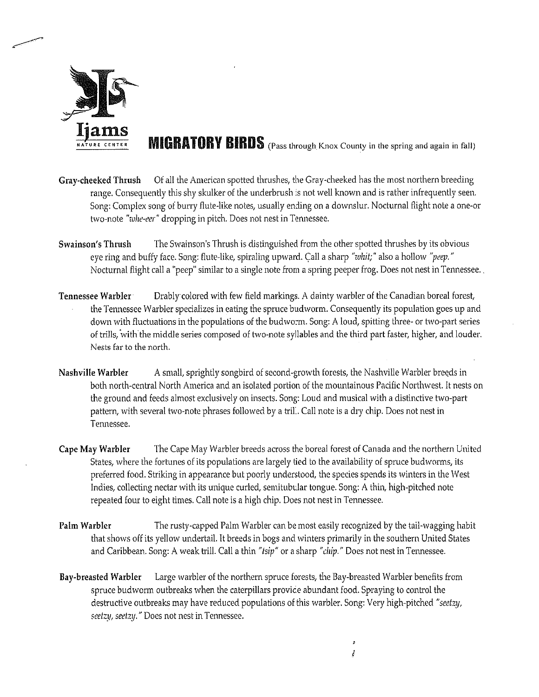

**MIGRATORY BIRDS** (Pass through Knox County in the spring and again in fall)

- Gray-checked Thrush Of all the American spotted thrushes, the Cray-cheeked has the most northern breeding range. Consequently this shy skulker of the underbrush is not well known and is rather infrequently seen. Song: Complex song of burry flute-like notes, usually ending on <sup>a</sup> downslur. Nocturnal flight note <sup>a</sup> one-or two-note "whe-eer" dropping in pitch. Does not nest in Tennessee.
- Swainson's Thrush The Swainson's Thrush is distinguished from the other spotted thrushes by its obvious eye ring and buffy face. Song: flute-like, spiraling upward. Call a sharp "whit;" also a hollow "peep." Nocturnal flight call <sup>a</sup> "peep' similar to <sup>a</sup> single note from <sup>a</sup> spring peeper frog. Does not nest in Tennessee.
- Tennessee Warbler Drably colored with few field markings. A dainty warbler of the Canadian boreal forest, the Tennessee Warbler specializes in eating the spruce budworm. Consequently its population goes up and down with fluctuations in the populations of the budworm. Song: A loud, spitting three- or two-part series of trills, with the middle series composed of two-note syllables and the third part faster, higher, and louder. Nests far to the north.
- Nashville Warbler A small, sprightly songbird of second-growth forests, the Nashville Warbler breeds in both north-central North America and an isolated portion of the mountainous Pacific Northwest. It nests on the ground and feeds almost exclusively on insects. Song: Loud and musical with <sup>a</sup> distinctive two-part pattern, with several two-note phrases followed by <sup>a</sup> frill. Call note is <sup>a</sup> dry chip. Does not nest in Tennessee.
- Cape May Warbler The Cape May Warbler breeds across the boreal forest of Canada and the northern United States, where the fortunes of its populations are largely tied to the availability of spruce budworms, its preferred food. Striking in appearance but poorly understood, the species spends its winters in the West Indies, collecting nectar with its unique curled, semitubular tongue. Song: A thin, high-pitched note repeated four to eight times. Call note is <sup>a</sup> high chip. Does not nest in Tennessee.
- Palm Warbler The rusty-capped Palm Warbler can be most easily recognized by the tail-wagging habit that shows off its yellow undertail. It breeds in bogs and winters primarily in the southern United States and Caribbean. Song: A weak trill. Call a thin "tsip" or a sharp "chip." Does not nest in Tennessee.
- Bay-breasted Warbler Large warbler of the northern spruce forests, the Bay-breasted Warbler benefits from spruce budworm outbreaks when the caterpillars provide abundant food. Spraying to control the destructive outbreaks may have reduced populations of this warbler. Song: Very high-pitched "seetzy, seetzy, seetzy." Does not nest in Tennessee.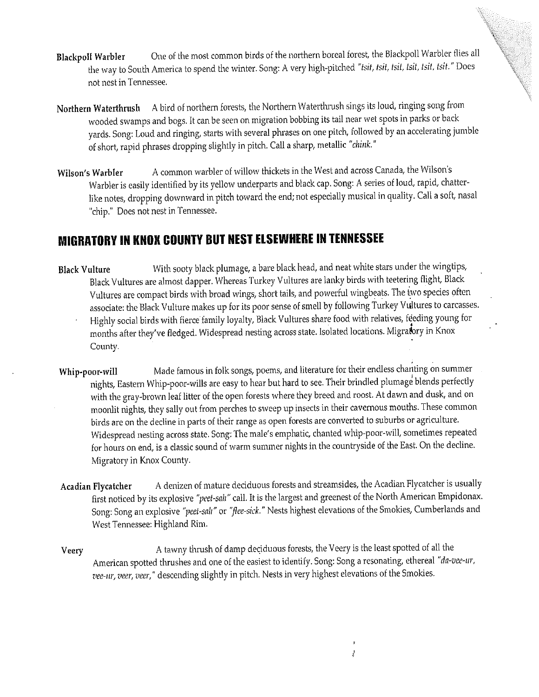- Blackpoll Warbler One of the most common birds of the northern boreal forest, the Blackpoll Warbler flies all the way to South America to spend the winter. Song: A very high-pitched "tsit, tsit, tsit, tsit, tsit. "Does not nest in Tennessee.
- Northern Waterthrush <sup>A</sup> bird of northern forests, the Northern Waterthrush sings its loud, ringing song from wooded swamps and bogs. It can be seen on migration bobbing its tail near wet spots in parks or back yards. Song: Loud and ringing, starts with several phrases on one pitch, followed by an accelerating jumble of short, rapid phrases dropping slightly in pitch. Call <sup>a</sup> sharp, metallic "chink."
- Wilson's Warbler A common warbler of willow thickets in the West and across Canada, the Wilson's Warbler is easily identified by its yellow underparts and black cap. Song: A series of loud, rapid, chatterlike notes, dropping downward in pitch toward the end; not especially musical in quality. Call <sup>a</sup> soft, nasal "chip.' Does not nest in Tennessee.

## MIGRATORY IN KNOX COUNTY BUT NEST ELSEWHERE IN TENNESSEE

- Black Vulture With sooty black plumage, a bare black head, and neat white stars under the wingtips, Black Vultures are almost dapper. Whereas Turkey Vultures are lanky birds with teetering flight, Black Vultures are compact birds with broad wings, short tails, and powerful wingbeats. The two species often associate: the Black Vulture makes up for its poor sense of smell by following Turkey Vultures to carcasses. Highly social birds with fierce family loyalty, Black Vultures share food with relatives, feeding young for months after they've fledged. Widespread nesting across state. Isolated locations. Migratory in Knox County.
- Whip-poor-will Made famous in folk songs, poems, and literature for their endless chanting on summer nights, Eastern Whip-poor-wills are easy to hear but hard to see. Their brindled plumage blends perfectly with the gray-brown leaf litter of the open forests where they breed and roost. At dawn and dusk, and on moonlit nights, they sally out from perches to sweep up insects in their cavernous mouths. These common birds are on the decline in parts of their range as open forests are converted to suburbs or agriculture. Widespread nesting across state. Song: The male's emphatic, chanted whip-poor-will, sometimes repeated for hours on end, is <sup>a</sup> classic sound of warm summer nights in the countryside of the East. On the decline. Migratory in Knox County.
- Acadian Flycatcher A denizen of mature deciduous forests and streamsides, the Acadian Flycatcher is usually first noticed by its explosive "peet-sah" call. It is the largest and greenest of the North American Empidonax. Song: Song an explosive "peet-salt" or "flee-sick." Nests highest elevations of the Smokies, Cumberlands and West Tennessee: Highland Rim.
- Veery **A** tawny thrush of damp deciduous forests, the Veery is the least spotted of all the American spotted thrushes and one of the easiest to identify. Song: Song <sup>a</sup> resonating, ethereal "da-vee-ur, vee-ur, veer, veer," descending slightly in pitch. Nests in very highest elevations of the Smokies.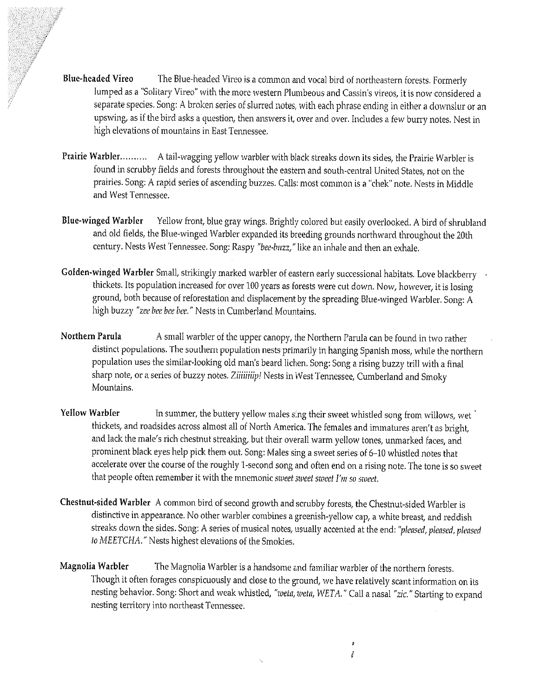- Blue-headed Vireo The Blue-headed Vireo is a common and vocal bird of northeastern forests. Formerly lumped as a "Solitary Vireo" with the more western Plumbeous and Cassin's vireos, it is now considered a separate species. Song: A broken series of slurred notes, with each phrase ending in either <sup>a</sup> downslur or an upswing, as if the bird asks <sup>a</sup> question, then answers it, over and over. Includes <sup>a</sup> few burry notes. Nest in high elevations of mountains in East Tennessee.
- Prairie Warbler .......... A tail-wagging yellow warbler with black streaks down its sides, the Prairie Warbler is found in scrubby fields and forests throughout the eastern and south-central United States, not on the prairies. Song: A rapid series of ascending buzzes. Calls: most common is a "chek" note. Nests in Middle and West Tennessee.
- Blue-winged Warbler Yellow front, blue gray wings. Brightly colored but easily overlooked. A bird of shrubland and old fields, the Blue-winged Warbler expanded its breeding grounds northward throughout the 20th century. Nests West Tennessee. Song: Raspy "bee-buzz," like an inhale and then an exhale.
- Golden-winged Warbler Small, strikingly marked warbler of eastern early successional habitats. Love blackberry thickets. Its population increased for over 100 years as forests were cut down. Now, however, it is losing ground, both because of reforestation and displacement by the spreading Blue-winged Warbler. Song: A high buzzy "zee bee bee bee." Nests in Cumberland Mountains.
- Northern Parula A small warbler of the upper canopy, the Northern Parula can be found in two rather distinct populations. The southern population nests primarily in hanging Spanish moss, while the northern population uses the similar-looking old man's beard lichen. Song: Song <sup>a</sup> rising buzzy trill with <sup>a</sup> final sharp note, or <sup>a</sup> series of buzzy notes. Ziiüiiiip! Nests in West Tennessee, Cumberland and Smoky Mountains.
- Yellow Warbler In summer, the buttery yellow males sing their sweet whistled song from willows, wet thickets, and roadsides across almost all of North America. The females and immatures aren't as bright, and lack the male's rich chestnut streaking, but their overall warm yellow tones, unmarked faces, and prominent black eyes help pick them out. Song: Males sing <sup>a</sup> sweet series of 6—10 whistled notes that accelerate over the course of the roughly 1-second song and often end on <sup>a</sup> rising note. The tone is so sweet that people often remember it with the mnemonic sweet sweet sweet I'm so sweet.
- Chestnut-sided Warbler A common bird of second growth and scrubby forests, the Chestnut-sided Warbler is distinctive in appearance. No other warbler combines a greenish-yellow cap, a white breast, and reddish streaks down the sides. Song: A series of musical notes, usually accented at the end: "pleased, pleased, pleased to MEETCHA." Nests highest elevations of the Smokies.
- Magnolia Warbler The Magnolia Warbler is <sup>a</sup> handsome and familiar warbler of the northern forests. Though it often forages conspicuously and close to the ground, we have relatively scant information on its nesting behavior. Song: Short and weak whistled, "weta, weta, WETA." Call a nasal "zic." Starting to expand nesting territory into northeast Tennessee.

 $\mathcal{A}_\mathbf{a}$ 

if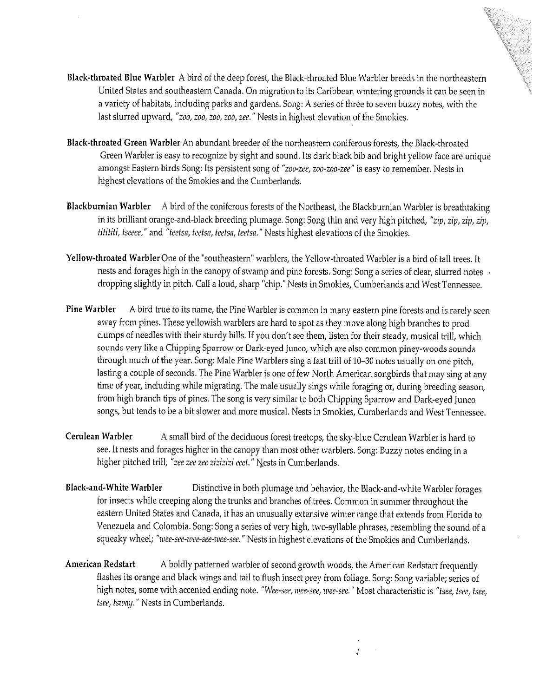- Black-throated Blue Warbler A bird of the deep forest, the Black-throated Blue Warbler breeds in the northeastern United States and southeastern Canada. On migration to its Caribbean wintering grounds it can be seen in <sup>a</sup> variety of habitats, including parks and gardens. Song: A series of three to seven buzzy notes, with the last slurred upward, "zoo, zoo, zoo, zoo, zee." Nests in highest elevation of the Smokies.
- Black-throated Green Warbler An abundant breeder of the northeastern coniferous forests, the Black-throated Green Warbler is easy to recognize by sight and sound. Its dark black bib and bright yellow face are unique amongst Eastern birds Song: Its persistent song of "zoo-zee, zoo-zoo-zee" is easy to remember. Nests in highest elevations of the Smokies and the Cumberlands.
- Blackburnian Warbler A bird of the coniferous forests of the Northeast, the Blackburnian Warbler is breathtaking in its brilliant orange-and-black breeding plumage. Song: Song thin and very high pitched, "zip, zip, zip, zip, titititi, tseeee," and "teetsa, teetsa, teetsa, teetsa." Nests highest elevations of the Smokies.
- Yellow-throated Warbler One of the 'southeastern' warblers, the Yellow-throated Warbler is <sup>a</sup> bird of tall trees. It nests and forages high in the canopy of swamp and pine forests. Song: Song a series of clear, slurred notes v dropping slightly in pitch. Call <sup>a</sup> loud, sharp "chip." Nests in Smokies, Cumberlands and West Tennessee.
- Pine Warbler A bird true to its name, the Pine Warbler is common in many eastern pine forests and is rarely seen away from pines. These yellowish warbiers are hard to spot as they move along high branches to prod clumps of needles with their sturdy bills. If you don't see them, listen for their steady, musical trill, which sounds very like <sup>a</sup> Chipping Sparrow or Dark-eyed Junco, which are also common piney-woods sounds through much of the year. Song: Male Pine Warbiers sing <sup>a</sup> fast trill of 10—30 notes usually on one pitch, lasting a couple of seconds. The Pine Warbler is one of few North American songbirds that may sing at any time of year, including while migrating. The male usually sings while foraging or, during breeding season, from high branch tips of pines. The song is very similar to both Chipping Sparrow and Dark-eyed Junco songs, but tends to be <sup>a</sup> bit slower and more musical. Nests in Smokies, Cumberlands and West Tennessee.
- Cerulean Warbler A small bird of the deciduous forest treetops, the sky-blue Cerulean Warbler is hard to see. It nests and forages higher in the canopy than most other warblers. Song: Buzzy notes ending in <sup>a</sup> higher pitched trill, "zee zee zee zizizizi eeet." Nests in Cumberlands.
- Black-and-White Warbler Distinctive in both plumage and behavior, the Black-and-white Warbler forages for insects while creeping along the trunks and branches of trees. Common in summer throughout the eastern United States and Canada, it has an unusually extensive winter range that extends from Florida to Venezuela and Colombia. Song: Song <sup>a</sup> series of very high, two-syllable phrases, resembling the sound of <sup>a</sup> squeaky wheel; "wee-see-wee-see-wee-see." Nests in highest elevations of the Smokies and Cumberlands.
- American Redstart A boldly patterned warbler of second growth woods, the American Redstart frequently flashes its orange and black wings and tail to flush insect prey from foliage. Song: Song variable; series of high notes, some with accented ending note. "Wee-see, wee-see, wee-see." Most characteristic is "tsee, tsee, tsee, tsee, isway." Nests in Cumberlands.

 $\vec{J}$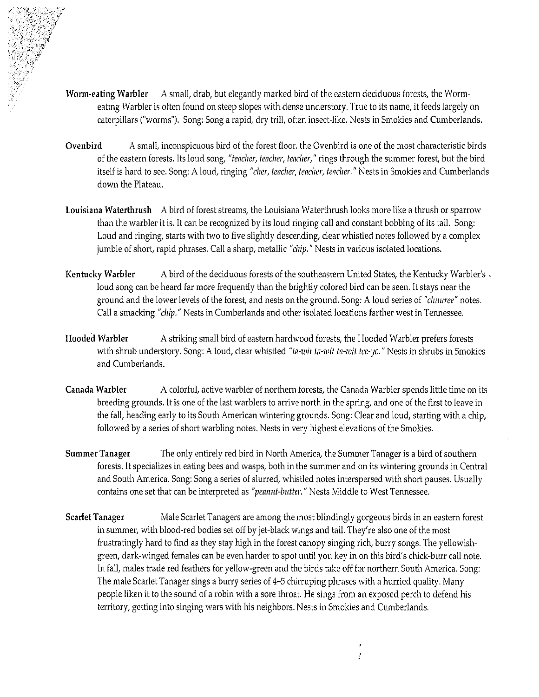- Worm-eating Warbler A small, drab, but elegantly marked bird of the eastern deciduous forests, the Wormeating Warbler is often found on steep slopes with dense understory. True to its name, it feeds largely on caterpillars ("worms"). Song: Song a rapid, dry trill, often insect-like. Nests in Smokies and Cumberlands.
- Ovenbird A small, inconspicuous bird of the forest floor, the Ovenbird is one of the most characteristic birds of the eastern forests. Its loud song, "teacher, teacher, teacher," rings through the summer forest, but the bird itself is hard to see. Song: A loud, ringing "cher, teacher, teacher, teacher." Nests in Smokies and Cumberlands down the Plateau.
- Louisiana Waterthrush A bird of forest streams, the Louisiana Waterthrush looks more like a thrush or sparrow than the warbler it is. It can be recognized by its loud ringing call and constant bobbing of its tail. Song: Loud and ringing, starts with two to five slightly descending, clear whistled notes followed by <sup>a</sup> complex jumble of short, rapid phrases. Call a sharp, metallic "chip." Nests in various isolated locations.
- Kentucky Warbler A bird of the deciduous forests of the southeastern United States, the Kentucky Warbler's. loud song can be heard far more frequently than the brightly colored bird can be seen. It stays near the ground and the lower levels of the forest, and nests on the ground. Song: A loud series of "chuuree" notes. Call a smacking "cluip." Nests in Cumberlands and other isolated locations farther west in Tennessee.
- Hooded Warbler A striking small bird of eastern hardwood forests, the Hooded Warbler prefers forests with shrub understory. Song: A loud, clear whistled "ta-wit ta-wit ta-wit tee-yo." Nests in shrubs in Smokies and Cumberlands.
- Canada Warbler A colorful, active warbler of northern forests, the Canada Warbler spends little time on its breeding grounds. it is one of the last warbiers to arrive north in the spring, and one of the first to leave in the fall, heading early to its South American wintering grounds. Song: Clear and loud, starting with <sup>a</sup> chip, followed by a series of short warbling notes. Nests in very highest elevations of the Smokies.
- Summer Tanager The only entirely red bird in North America, the Summer Tanager is a bird of southern forests. It specializes in eating bees and wasps, both in the summer and on its wintering grounds in Central and South America. Song: Song <sup>a</sup> series of slurred, whistled notes interspersed with short pauses. Usually contains one set that can be interpreted as "peanut-butter." Nests Middle to West Tennessee.
- Scarlet Tanager Male Scarlet Tanagers are among the most blindingly gorgeous birds in an eastern forest in summer, with blood-red bodies set off by jet-black wings and tail. They're also one of the most frustratingly hard to find as they stay high in the forest canopy singing rich, burry songs. The yellowish green, dark-winged females can be even harder to spot until you key in on this bird's chick-burr call note. In fall, males trade red feathers for yellow-green and the birds take off for northern South America. Song: The male Scarlet Tanager sings <sup>a</sup> burry series of 4—5 chirruping phrases with <sup>a</sup> hurried quality. Many people liken it to the sound of <sup>a</sup> robin with <sup>a</sup> sore throat. He sings from an exposed perch to defend his territory, getting into singing wars with his neighbors. Nests in Smokies and Cumberlands.